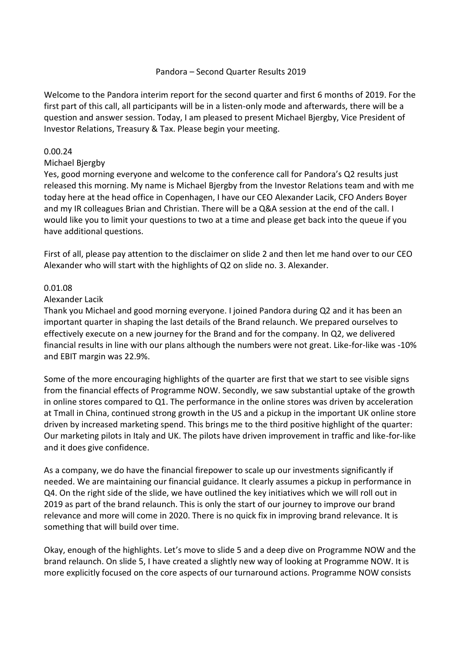## Pandora – Second Quarter Results 2019

Welcome to the Pandora interim report for the second quarter and first 6 months of 2019. For the first part of this call, all participants will be in a listen-only mode and afterwards, there will be a question and answer session. Today, I am pleased to present Michael Bjergby, Vice President of Investor Relations, Treasury & Tax. Please begin your meeting.

#### 0.00.24

## Michael Bjergby

Yes, good morning everyone and welcome to the conference call for Pandora's Q2 results just released this morning. My name is Michael Bjergby from the Investor Relations team and with me today here at the head office in Copenhagen, I have our CEO Alexander Lacik, CFO Anders Boyer and my IR colleagues Brian and Christian. There will be a Q&A session at the end of the call. I would like you to limit your questions to two at a time and please get back into the queue if you have additional questions.

First of all, please pay attention to the disclaimer on slide 2 and then let me hand over to our CEO Alexander who will start with the highlights of Q2 on slide no. 3. Alexander.

## 0.01.08

#### Alexander Lacik

Thank you Michael and good morning everyone. I joined Pandora during Q2 and it has been an important quarter in shaping the last details of the Brand relaunch. We prepared ourselves to effectively execute on a new journey for the Brand and for the company. In Q2, we delivered financial results in line with our plans although the numbers were not great. Like-for-like was -10% and EBIT margin was 22.9%.

Some of the more encouraging highlights of the quarter are first that we start to see visible signs from the financial effects of Programme NOW. Secondly, we saw substantial uptake of the growth in online stores compared to Q1. The performance in the online stores was driven by acceleration at Tmall in China, continued strong growth in the US and a pickup in the important UK online store driven by increased marketing spend. This brings me to the third positive highlight of the quarter: Our marketing pilots in Italy and UK. The pilots have driven improvement in traffic and like-for-like and it does give confidence.

As a company, we do have the financial firepower to scale up our investments significantly if needed. We are maintaining our financial guidance. It clearly assumes a pickup in performance in Q4. On the right side of the slide, we have outlined the key initiatives which we will roll out in 2019 as part of the brand relaunch. This is only the start of our journey to improve our brand relevance and more will come in 2020. There is no quick fix in improving brand relevance. It is something that will build over time.

Okay, enough of the highlights. Let's move to slide 5 and a deep dive on Programme NOW and the brand relaunch. On slide 5, I have created a slightly new way of looking at Programme NOW. It is more explicitly focused on the core aspects of our turnaround actions. Programme NOW consists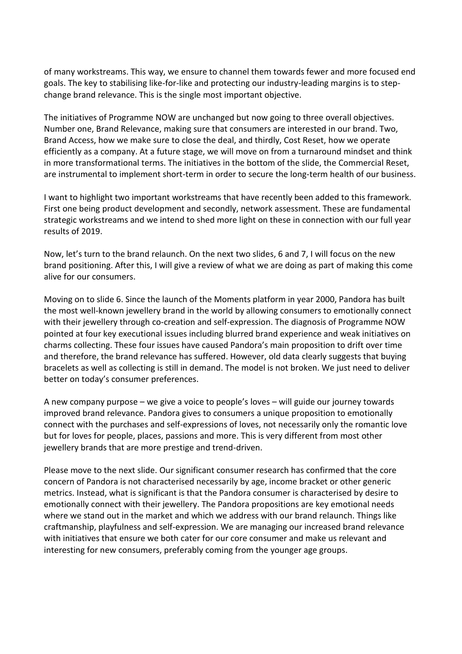of many workstreams. This way, we ensure to channel them towards fewer and more focused end goals. The key to stabilising like-for-like and protecting our industry-leading margins is to stepchange brand relevance. This is the single most important objective.

The initiatives of Programme NOW are unchanged but now going to three overall objectives. Number one, Brand Relevance, making sure that consumers are interested in our brand. Two, Brand Access, how we make sure to close the deal, and thirdly, Cost Reset, how we operate efficiently as a company. At a future stage, we will move on from a turnaround mindset and think in more transformational terms. The initiatives in the bottom of the slide, the Commercial Reset, are instrumental to implement short-term in order to secure the long-term health of our business.

I want to highlight two important workstreams that have recently been added to this framework. First one being product development and secondly, network assessment. These are fundamental strategic workstreams and we intend to shed more light on these in connection with our full year results of 2019.

Now, let's turn to the brand relaunch. On the next two slides, 6 and 7, I will focus on the new brand positioning. After this, I will give a review of what we are doing as part of making this come alive for our consumers.

Moving on to slide 6. Since the launch of the Moments platform in year 2000, Pandora has built the most well-known jewellery brand in the world by allowing consumers to emotionally connect with their jewellery through co-creation and self-expression. The diagnosis of Programme NOW pointed at four key executional issues including blurred brand experience and weak initiatives on charms collecting. These four issues have caused Pandora's main proposition to drift over time and therefore, the brand relevance has suffered. However, old data clearly suggests that buying bracelets as well as collecting is still in demand. The model is not broken. We just need to deliver better on today's consumer preferences.

A new company purpose – we give a voice to people's loves – will guide our journey towards improved brand relevance. Pandora gives to consumers a unique proposition to emotionally connect with the purchases and self-expressions of loves, not necessarily only the romantic love but for loves for people, places, passions and more. This is very different from most other jewellery brands that are more prestige and trend-driven.

Please move to the next slide. Our significant consumer research has confirmed that the core concern of Pandora is not characterised necessarily by age, income bracket or other generic metrics. Instead, what is significant is that the Pandora consumer is characterised by desire to emotionally connect with their jewellery. The Pandora propositions are key emotional needs where we stand out in the market and which we address with our brand relaunch. Things like craftmanship, playfulness and self-expression. We are managing our increased brand relevance with initiatives that ensure we both cater for our core consumer and make us relevant and interesting for new consumers, preferably coming from the younger age groups.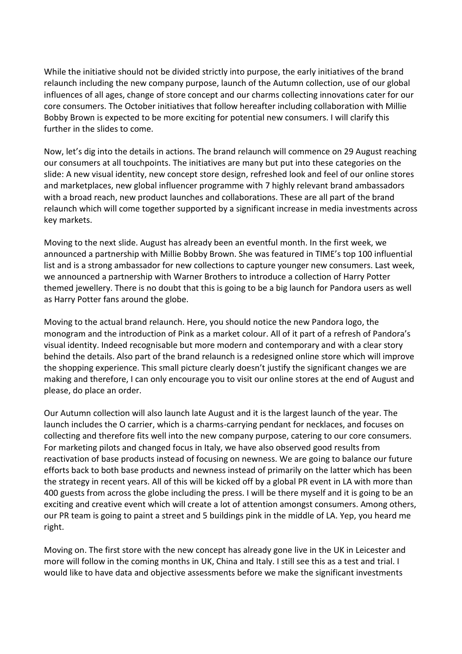While the initiative should not be divided strictly into purpose, the early initiatives of the brand relaunch including the new company purpose, launch of the Autumn collection, use of our global influences of all ages, change of store concept and our charms collecting innovations cater for our core consumers. The October initiatives that follow hereafter including collaboration with Millie Bobby Brown is expected to be more exciting for potential new consumers. I will clarify this further in the slides to come.

Now, let's dig into the details in actions. The brand relaunch will commence on 29 August reaching our consumers at all touchpoints. The initiatives are many but put into these categories on the slide: A new visual identity, new concept store design, refreshed look and feel of our online stores and marketplaces, new global influencer programme with 7 highly relevant brand ambassadors with a broad reach, new product launches and collaborations. These are all part of the brand relaunch which will come together supported by a significant increase in media investments across key markets.

Moving to the next slide. August has already been an eventful month. In the first week, we announced a partnership with Millie Bobby Brown. She was featured in TIME's top 100 influential list and is a strong ambassador for new collections to capture younger new consumers. Last week, we announced a partnership with Warner Brothers to introduce a collection of Harry Potter themed jewellery. There is no doubt that this is going to be a big launch for Pandora users as well as Harry Potter fans around the globe.

Moving to the actual brand relaunch. Here, you should notice the new Pandora logo, the monogram and the introduction of Pink as a market colour. All of it part of a refresh of Pandora's visual identity. Indeed recognisable but more modern and contemporary and with a clear story behind the details. Also part of the brand relaunch is a redesigned online store which will improve the shopping experience. This small picture clearly doesn't justify the significant changes we are making and therefore, I can only encourage you to visit our online stores at the end of August and please, do place an order.

Our Autumn collection will also launch late August and it is the largest launch of the year. The launch includes the O carrier, which is a charms-carrying pendant for necklaces, and focuses on collecting and therefore fits well into the new company purpose, catering to our core consumers. For marketing pilots and changed focus in Italy, we have also observed good results from reactivation of base products instead of focusing on newness. We are going to balance our future efforts back to both base products and newness instead of primarily on the latter which has been the strategy in recent years. All of this will be kicked off by a global PR event in LA with more than 400 guests from across the globe including the press. I will be there myself and it is going to be an exciting and creative event which will create a lot of attention amongst consumers. Among others, our PR team is going to paint a street and 5 buildings pink in the middle of LA. Yep, you heard me right.

Moving on. The first store with the new concept has already gone live in the UK in Leicester and more will follow in the coming months in UK, China and Italy. I still see this as a test and trial. I would like to have data and objective assessments before we make the significant investments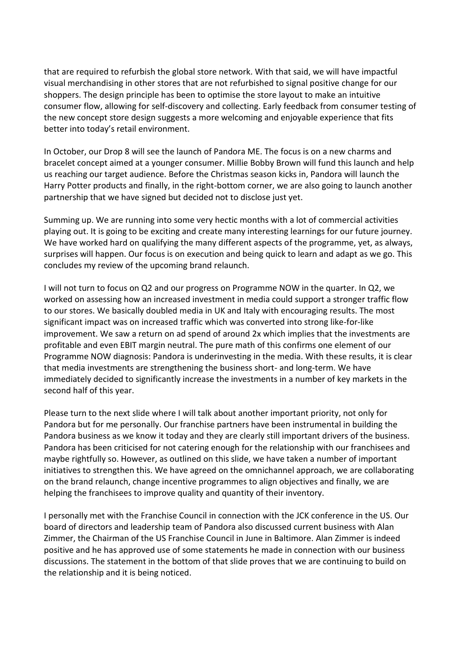that are required to refurbish the global store network. With that said, we will have impactful visual merchandising in other stores that are not refurbished to signal positive change for our shoppers. The design principle has been to optimise the store layout to make an intuitive consumer flow, allowing for self-discovery and collecting. Early feedback from consumer testing of the new concept store design suggests a more welcoming and enjoyable experience that fits better into today's retail environment.

In October, our Drop 8 will see the launch of Pandora ME. The focus is on a new charms and bracelet concept aimed at a younger consumer. Millie Bobby Brown will fund this launch and help us reaching our target audience. Before the Christmas season kicks in, Pandora will launch the Harry Potter products and finally, in the right-bottom corner, we are also going to launch another partnership that we have signed but decided not to disclose just yet.

Summing up. We are running into some very hectic months with a lot of commercial activities playing out. It is going to be exciting and create many interesting learnings for our future journey. We have worked hard on qualifying the many different aspects of the programme, yet, as always, surprises will happen. Our focus is on execution and being quick to learn and adapt as we go. This concludes my review of the upcoming brand relaunch.

I will not turn to focus on Q2 and our progress on Programme NOW in the quarter. In Q2, we worked on assessing how an increased investment in media could support a stronger traffic flow to our stores. We basically doubled media in UK and Italy with encouraging results. The most significant impact was on increased traffic which was converted into strong like-for-like improvement. We saw a return on ad spend of around 2x which implies that the investments are profitable and even EBIT margin neutral. The pure math of this confirms one element of our Programme NOW diagnosis: Pandora is underinvesting in the media. With these results, it is clear that media investments are strengthening the business short- and long-term. We have immediately decided to significantly increase the investments in a number of key markets in the second half of this year.

Please turn to the next slide where I will talk about another important priority, not only for Pandora but for me personally. Our franchise partners have been instrumental in building the Pandora business as we know it today and they are clearly still important drivers of the business. Pandora has been criticised for not catering enough for the relationship with our franchisees and maybe rightfully so. However, as outlined on this slide, we have taken a number of important initiatives to strengthen this. We have agreed on the omnichannel approach, we are collaborating on the brand relaunch, change incentive programmes to align objectives and finally, we are helping the franchisees to improve quality and quantity of their inventory.

I personally met with the Franchise Council in connection with the JCK conference in the US. Our board of directors and leadership team of Pandora also discussed current business with Alan Zimmer, the Chairman of the US Franchise Council in June in Baltimore. Alan Zimmer is indeed positive and he has approved use of some statements he made in connection with our business discussions. The statement in the bottom of that slide proves that we are continuing to build on the relationship and it is being noticed.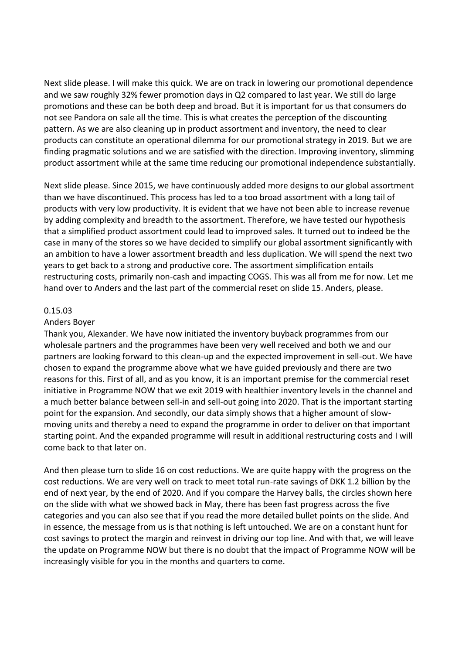Next slide please. I will make this quick. We are on track in lowering our promotional dependence and we saw roughly 32% fewer promotion days in Q2 compared to last year. We still do large promotions and these can be both deep and broad. But it is important for us that consumers do not see Pandora on sale all the time. This is what creates the perception of the discounting pattern. As we are also cleaning up in product assortment and inventory, the need to clear products can constitute an operational dilemma for our promotional strategy in 2019. But we are finding pragmatic solutions and we are satisfied with the direction. Improving inventory, slimming product assortment while at the same time reducing our promotional independence substantially.

Next slide please. Since 2015, we have continuously added more designs to our global assortment than we have discontinued. This process has led to a too broad assortment with a long tail of products with very low productivity. It is evident that we have not been able to increase revenue by adding complexity and breadth to the assortment. Therefore, we have tested our hypothesis that a simplified product assortment could lead to improved sales. It turned out to indeed be the case in many of the stores so we have decided to simplify our global assortment significantly with an ambition to have a lower assortment breadth and less duplication. We will spend the next two years to get back to a strong and productive core. The assortment simplification entails restructuring costs, primarily non-cash and impacting COGS. This was all from me for now. Let me hand over to Anders and the last part of the commercial reset on slide 15. Anders, please.

#### 0.15.03

#### Anders Boyer

Thank you, Alexander. We have now initiated the inventory buyback programmes from our wholesale partners and the programmes have been very well received and both we and our partners are looking forward to this clean-up and the expected improvement in sell-out. We have chosen to expand the programme above what we have guided previously and there are two reasons for this. First of all, and as you know, it is an important premise for the commercial reset initiative in Programme NOW that we exit 2019 with healthier inventory levels in the channel and a much better balance between sell-in and sell-out going into 2020. That is the important starting point for the expansion. And secondly, our data simply shows that a higher amount of slowmoving units and thereby a need to expand the programme in order to deliver on that important starting point. And the expanded programme will result in additional restructuring costs and I will come back to that later on.

And then please turn to slide 16 on cost reductions. We are quite happy with the progress on the cost reductions. We are very well on track to meet total run-rate savings of DKK 1.2 billion by the end of next year, by the end of 2020. And if you compare the Harvey balls, the circles shown here on the slide with what we showed back in May, there has been fast progress across the five categories and you can also see that if you read the more detailed bullet points on the slide. And in essence, the message from us is that nothing is left untouched. We are on a constant hunt for cost savings to protect the margin and reinvest in driving our top line. And with that, we will leave the update on Programme NOW but there is no doubt that the impact of Programme NOW will be increasingly visible for you in the months and quarters to come.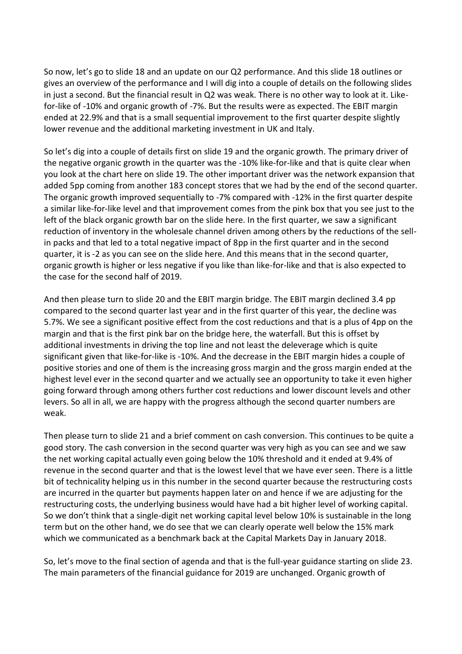So now, let's go to slide 18 and an update on our Q2 performance. And this slide 18 outlines or gives an overview of the performance and I will dig into a couple of details on the following slides in just a second. But the financial result in Q2 was weak. There is no other way to look at it. Likefor-like of -10% and organic growth of -7%. But the results were as expected. The EBIT margin ended at 22.9% and that is a small sequential improvement to the first quarter despite slightly lower revenue and the additional marketing investment in UK and Italy.

So let's dig into a couple of details first on slide 19 and the organic growth. The primary driver of the negative organic growth in the quarter was the -10% like-for-like and that is quite clear when you look at the chart here on slide 19. The other important driver was the network expansion that added 5pp coming from another 183 concept stores that we had by the end of the second quarter. The organic growth improved sequentially to -7% compared with -12% in the first quarter despite a similar like-for-like level and that improvement comes from the pink box that you see just to the left of the black organic growth bar on the slide here. In the first quarter, we saw a significant reduction of inventory in the wholesale channel driven among others by the reductions of the sellin packs and that led to a total negative impact of 8pp in the first quarter and in the second quarter, it is -2 as you can see on the slide here. And this means that in the second quarter, organic growth is higher or less negative if you like than like-for-like and that is also expected to the case for the second half of 2019.

And then please turn to slide 20 and the EBIT margin bridge. The EBIT margin declined 3.4 pp compared to the second quarter last year and in the first quarter of this year, the decline was 5.7%. We see a significant positive effect from the cost reductions and that is a plus of 4pp on the margin and that is the first pink bar on the bridge here, the waterfall. But this is offset by additional investments in driving the top line and not least the deleverage which is quite significant given that like-for-like is -10%. And the decrease in the EBIT margin hides a couple of positive stories and one of them is the increasing gross margin and the gross margin ended at the highest level ever in the second quarter and we actually see an opportunity to take it even higher going forward through among others further cost reductions and lower discount levels and other levers. So all in all, we are happy with the progress although the second quarter numbers are weak.

Then please turn to slide 21 and a brief comment on cash conversion. This continues to be quite a good story. The cash conversion in the second quarter was very high as you can see and we saw the net working capital actually even going below the 10% threshold and it ended at 9.4% of revenue in the second quarter and that is the lowest level that we have ever seen. There is a little bit of technicality helping us in this number in the second quarter because the restructuring costs are incurred in the quarter but payments happen later on and hence if we are adjusting for the restructuring costs, the underlying business would have had a bit higher level of working capital. So we don't think that a single-digit net working capital level below 10% is sustainable in the long term but on the other hand, we do see that we can clearly operate well below the 15% mark which we communicated as a benchmark back at the Capital Markets Day in January 2018.

So, let's move to the final section of agenda and that is the full-year guidance starting on slide 23. The main parameters of the financial guidance for 2019 are unchanged. Organic growth of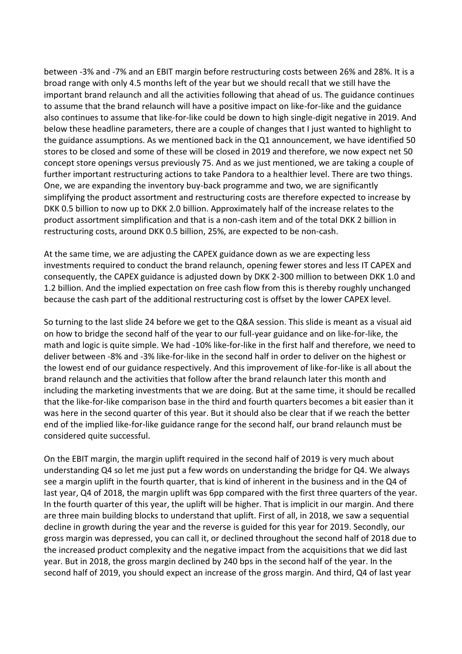between -3% and -7% and an EBIT margin before restructuring costs between 26% and 28%. It is a broad range with only 4.5 months left of the year but we should recall that we still have the important brand relaunch and all the activities following that ahead of us. The guidance continues to assume that the brand relaunch will have a positive impact on like-for-like and the guidance also continues to assume that like-for-like could be down to high single-digit negative in 2019. And below these headline parameters, there are a couple of changes that I just wanted to highlight to the guidance assumptions. As we mentioned back in the Q1 announcement, we have identified 50 stores to be closed and some of these will be closed in 2019 and therefore, we now expect net 50 concept store openings versus previously 75. And as we just mentioned, we are taking a couple of further important restructuring actions to take Pandora to a healthier level. There are two things. One, we are expanding the inventory buy-back programme and two, we are significantly simplifying the product assortment and restructuring costs are therefore expected to increase by DKK 0.5 billion to now up to DKK 2.0 billion. Approximately half of the increase relates to the product assortment simplification and that is a non-cash item and of the total DKK 2 billion in restructuring costs, around DKK 0.5 billion, 25%, are expected to be non-cash.

At the same time, we are adjusting the CAPEX guidance down as we are expecting less investments required to conduct the brand relaunch, opening fewer stores and less IT CAPEX and consequently, the CAPEX guidance is adjusted down by DKK 2-300 million to between DKK 1.0 and 1.2 billion. And the implied expectation on free cash flow from this is thereby roughly unchanged because the cash part of the additional restructuring cost is offset by the lower CAPEX level.

So turning to the last slide 24 before we get to the Q&A session. This slide is meant as a visual aid on how to bridge the second half of the year to our full-year guidance and on like-for-like, the math and logic is quite simple. We had -10% like-for-like in the first half and therefore, we need to deliver between -8% and -3% like-for-like in the second half in order to deliver on the highest or the lowest end of our guidance respectively. And this improvement of like-for-like is all about the brand relaunch and the activities that follow after the brand relaunch later this month and including the marketing investments that we are doing. But at the same time, it should be recalled that the like-for-like comparison base in the third and fourth quarters becomes a bit easier than it was here in the second quarter of this year. But it should also be clear that if we reach the better end of the implied like-for-like guidance range for the second half, our brand relaunch must be considered quite successful.

On the EBIT margin, the margin uplift required in the second half of 2019 is very much about understanding Q4 so let me just put a few words on understanding the bridge for Q4. We always see a margin uplift in the fourth quarter, that is kind of inherent in the business and in the Q4 of last year, Q4 of 2018, the margin uplift was 6pp compared with the first three quarters of the year. In the fourth quarter of this year, the uplift will be higher. That is implicit in our margin. And there are three main building blocks to understand that uplift. First of all, in 2018, we saw a sequential decline in growth during the year and the reverse is guided for this year for 2019. Secondly, our gross margin was depressed, you can call it, or declined throughout the second half of 2018 due to the increased product complexity and the negative impact from the acquisitions that we did last year. But in 2018, the gross margin declined by 240 bps in the second half of the year. In the second half of 2019, you should expect an increase of the gross margin. And third, Q4 of last year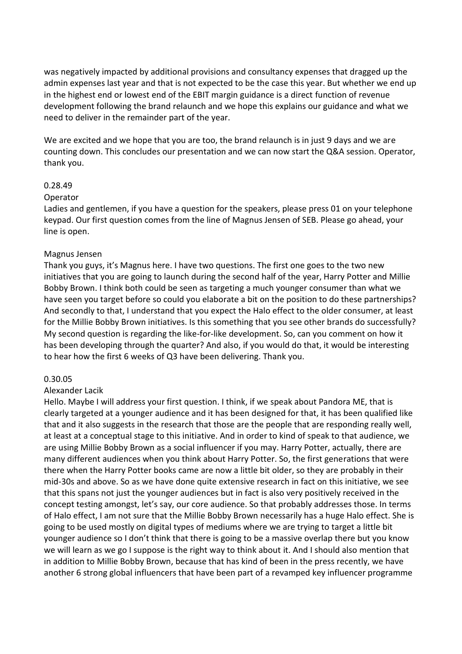was negatively impacted by additional provisions and consultancy expenses that dragged up the admin expenses last year and that is not expected to be the case this year. But whether we end up in the highest end or lowest end of the EBIT margin guidance is a direct function of revenue development following the brand relaunch and we hope this explains our guidance and what we need to deliver in the remainder part of the year.

We are excited and we hope that you are too, the brand relaunch is in just 9 days and we are counting down. This concludes our presentation and we can now start the Q&A session. Operator, thank you.

#### 0.28.49

#### Operator

Ladies and gentlemen, if you have a question for the speakers, please press 01 on your telephone keypad. Our first question comes from the line of Magnus Jensen of SEB. Please go ahead, your line is open.

#### Magnus Jensen

Thank you guys, it's Magnus here. I have two questions. The first one goes to the two new initiatives that you are going to launch during the second half of the year, Harry Potter and Millie Bobby Brown. I think both could be seen as targeting a much younger consumer than what we have seen you target before so could you elaborate a bit on the position to do these partnerships? And secondly to that, I understand that you expect the Halo effect to the older consumer, at least for the Millie Bobby Brown initiatives. Is this something that you see other brands do successfully? My second question is regarding the like-for-like development. So, can you comment on how it has been developing through the quarter? And also, if you would do that, it would be interesting to hear how the first 6 weeks of Q3 have been delivering. Thank you.

#### 0.30.05

#### Alexander Lacik

Hello. Maybe I will address your first question. I think, if we speak about Pandora ME, that is clearly targeted at a younger audience and it has been designed for that, it has been qualified like that and it also suggests in the research that those are the people that are responding really well, at least at a conceptual stage to this initiative. And in order to kind of speak to that audience, we are using Millie Bobby Brown as a social influencer if you may. Harry Potter, actually, there are many different audiences when you think about Harry Potter. So, the first generations that were there when the Harry Potter books came are now a little bit older, so they are probably in their mid-30s and above. So as we have done quite extensive research in fact on this initiative, we see that this spans not just the younger audiences but in fact is also very positively received in the concept testing amongst, let's say, our core audience. So that probably addresses those. In terms of Halo effect, I am not sure that the Millie Bobby Brown necessarily has a huge Halo effect. She is going to be used mostly on digital types of mediums where we are trying to target a little bit younger audience so I don't think that there is going to be a massive overlap there but you know we will learn as we go I suppose is the right way to think about it. And I should also mention that in addition to Millie Bobby Brown, because that has kind of been in the press recently, we have another 6 strong global influencers that have been part of a revamped key influencer programme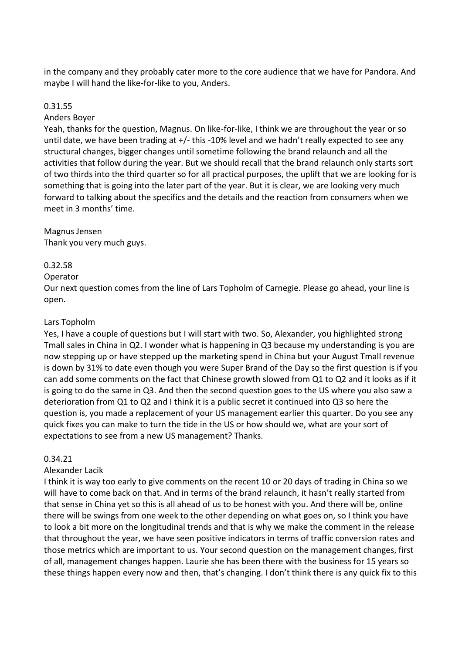in the company and they probably cater more to the core audience that we have for Pandora. And maybe I will hand the like-for-like to you, Anders.

## 0.31.55

#### Anders Boyer

Yeah, thanks for the question, Magnus. On like-for-like, I think we are throughout the year or so until date, we have been trading at +/- this -10% level and we hadn't really expected to see any structural changes, bigger changes until sometime following the brand relaunch and all the activities that follow during the year. But we should recall that the brand relaunch only starts sort of two thirds into the third quarter so for all practical purposes, the uplift that we are looking for is something that is going into the later part of the year. But it is clear, we are looking very much forward to talking about the specifics and the details and the reaction from consumers when we meet in 3 months' time.

## Magnus Jensen

Thank you very much guys.

#### 0.32.58

#### Operator

Our next question comes from the line of Lars Topholm of Carnegie. Please go ahead, your line is open.

#### Lars Topholm

Yes, I have a couple of questions but I will start with two. So, Alexander, you highlighted strong Tmall sales in China in Q2. I wonder what is happening in Q3 because my understanding is you are now stepping up or have stepped up the marketing spend in China but your August Tmall revenue is down by 31% to date even though you were Super Brand of the Day so the first question is if you can add some comments on the fact that Chinese growth slowed from Q1 to Q2 and it looks as if it is going to do the same in Q3. And then the second question goes to the US where you also saw a deterioration from Q1 to Q2 and I think it is a public secret it continued into Q3 so here the question is, you made a replacement of your US management earlier this quarter. Do you see any quick fixes you can make to turn the tide in the US or how should we, what are your sort of expectations to see from a new US management? Thanks.

#### 0.34.21

#### Alexander Lacik

I think it is way too early to give comments on the recent 10 or 20 days of trading in China so we will have to come back on that. And in terms of the brand relaunch, it hasn't really started from that sense in China yet so this is all ahead of us to be honest with you. And there will be, online there will be swings from one week to the other depending on what goes on, so I think you have to look a bit more on the longitudinal trends and that is why we make the comment in the release that throughout the year, we have seen positive indicators in terms of traffic conversion rates and those metrics which are important to us. Your second question on the management changes, first of all, management changes happen. Laurie she has been there with the business for 15 years so these things happen every now and then, that's changing. I don't think there is any quick fix to this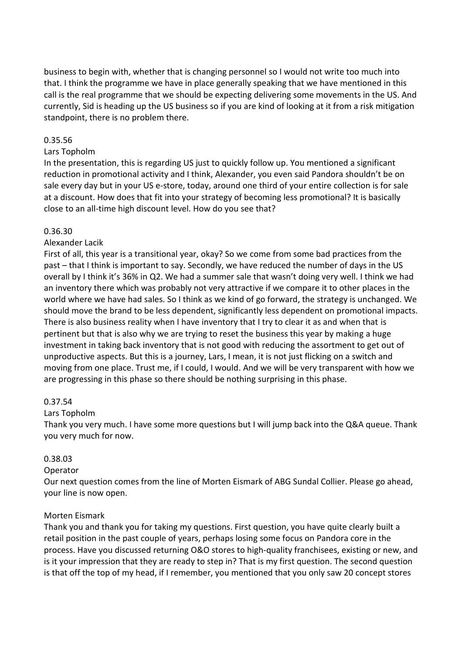business to begin with, whether that is changing personnel so I would not write too much into that. I think the programme we have in place generally speaking that we have mentioned in this call is the real programme that we should be expecting delivering some movements in the US. And currently, Sid is heading up the US business so if you are kind of looking at it from a risk mitigation standpoint, there is no problem there.

#### 0.35.56

## Lars Topholm

In the presentation, this is regarding US just to quickly follow up. You mentioned a significant reduction in promotional activity and I think, Alexander, you even said Pandora shouldn't be on sale every day but in your US e-store, today, around one third of your entire collection is for sale at a discount. How does that fit into your strategy of becoming less promotional? It is basically close to an all-time high discount level. How do you see that?

## 0.36.30

## Alexander Lacik

First of all, this year is a transitional year, okay? So we come from some bad practices from the past – that I think is important to say. Secondly, we have reduced the number of days in the US overall by I think it's 36% in Q2. We had a summer sale that wasn't doing very well. I think we had an inventory there which was probably not very attractive if we compare it to other places in the world where we have had sales. So I think as we kind of go forward, the strategy is unchanged. We should move the brand to be less dependent, significantly less dependent on promotional impacts. There is also business reality when I have inventory that I try to clear it as and when that is pertinent but that is also why we are trying to reset the business this year by making a huge investment in taking back inventory that is not good with reducing the assortment to get out of unproductive aspects. But this is a journey, Lars, I mean, it is not just flicking on a switch and moving from one place. Trust me, if I could, I would. And we will be very transparent with how we are progressing in this phase so there should be nothing surprising in this phase.

#### 0.37.54

## Lars Topholm

Thank you very much. I have some more questions but I will jump back into the Q&A queue. Thank you very much for now.

## 0.38.03

#### Operator

Our next question comes from the line of Morten Eismark of ABG Sundal Collier. Please go ahead, your line is now open.

## Morten Eismark

Thank you and thank you for taking my questions. First question, you have quite clearly built a retail position in the past couple of years, perhaps losing some focus on Pandora core in the process. Have you discussed returning O&O stores to high-quality franchisees, existing or new, and is it your impression that they are ready to step in? That is my first question. The second question is that off the top of my head, if I remember, you mentioned that you only saw 20 concept stores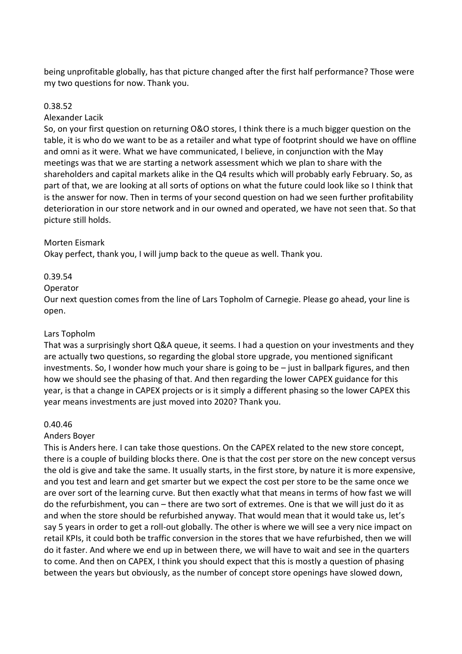being unprofitable globally, has that picture changed after the first half performance? Those were my two questions for now. Thank you.

## 0.38.52

#### Alexander Lacik

So, on your first question on returning O&O stores, I think there is a much bigger question on the table, it is who do we want to be as a retailer and what type of footprint should we have on offline and omni as it were. What we have communicated, I believe, in conjunction with the May meetings was that we are starting a network assessment which we plan to share with the shareholders and capital markets alike in the Q4 results which will probably early February. So, as part of that, we are looking at all sorts of options on what the future could look like so I think that is the answer for now. Then in terms of your second question on had we seen further profitability deterioration in our store network and in our owned and operated, we have not seen that. So that picture still holds.

## Morten Eismark

Okay perfect, thank you, I will jump back to the queue as well. Thank you.

## 0.39.54

#### Operator

Our next question comes from the line of Lars Topholm of Carnegie. Please go ahead, your line is open.

#### Lars Topholm

That was a surprisingly short Q&A queue, it seems. I had a question on your investments and they are actually two questions, so regarding the global store upgrade, you mentioned significant investments. So, I wonder how much your share is going to be – just in ballpark figures, and then how we should see the phasing of that. And then regarding the lower CAPEX guidance for this year, is that a change in CAPEX projects or is it simply a different phasing so the lower CAPEX this year means investments are just moved into 2020? Thank you.

#### 0.40.46

## Anders Boyer

This is Anders here. I can take those questions. On the CAPEX related to the new store concept, there is a couple of building blocks there. One is that the cost per store on the new concept versus the old is give and take the same. It usually starts, in the first store, by nature it is more expensive, and you test and learn and get smarter but we expect the cost per store to be the same once we are over sort of the learning curve. But then exactly what that means in terms of how fast we will do the refurbishment, you can – there are two sort of extremes. One is that we will just do it as and when the store should be refurbished anyway. That would mean that it would take us, let's say 5 years in order to get a roll-out globally. The other is where we will see a very nice impact on retail KPIs, it could both be traffic conversion in the stores that we have refurbished, then we will do it faster. And where we end up in between there, we will have to wait and see in the quarters to come. And then on CAPEX, I think you should expect that this is mostly a question of phasing between the years but obviously, as the number of concept store openings have slowed down,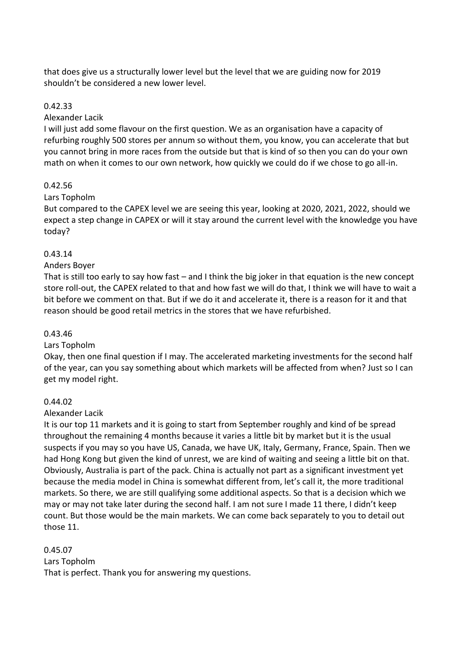that does give us a structurally lower level but the level that we are guiding now for 2019 shouldn't be considered a new lower level.

# 0.42.33

## Alexander Lacik

I will just add some flavour on the first question. We as an organisation have a capacity of refurbing roughly 500 stores per annum so without them, you know, you can accelerate that but you cannot bring in more races from the outside but that is kind of so then you can do your own math on when it comes to our own network, how quickly we could do if we chose to go all-in.

## 0.42.56

## Lars Topholm

But compared to the CAPEX level we are seeing this year, looking at 2020, 2021, 2022, should we expect a step change in CAPEX or will it stay around the current level with the knowledge you have today?

# 0.43.14

# Anders Boyer

That is still too early to say how fast – and I think the big joker in that equation is the new concept store roll-out, the CAPEX related to that and how fast we will do that, I think we will have to wait a bit before we comment on that. But if we do it and accelerate it, there is a reason for it and that reason should be good retail metrics in the stores that we have refurbished.

## 0.43.46

## Lars Topholm

Okay, then one final question if I may. The accelerated marketing investments for the second half of the year, can you say something about which markets will be affected from when? Just so I can get my model right.

## 0.44.02

# Alexander Lacik

It is our top 11 markets and it is going to start from September roughly and kind of be spread throughout the remaining 4 months because it varies a little bit by market but it is the usual suspects if you may so you have US, Canada, we have UK, Italy, Germany, France, Spain. Then we had Hong Kong but given the kind of unrest, we are kind of waiting and seeing a little bit on that. Obviously, Australia is part of the pack. China is actually not part as a significant investment yet because the media model in China is somewhat different from, let's call it, the more traditional markets. So there, we are still qualifying some additional aspects. So that is a decision which we may or may not take later during the second half. I am not sure I made 11 there, I didn't keep count. But those would be the main markets. We can come back separately to you to detail out those 11.

0.45.07 Lars Topholm

That is perfect. Thank you for answering my questions.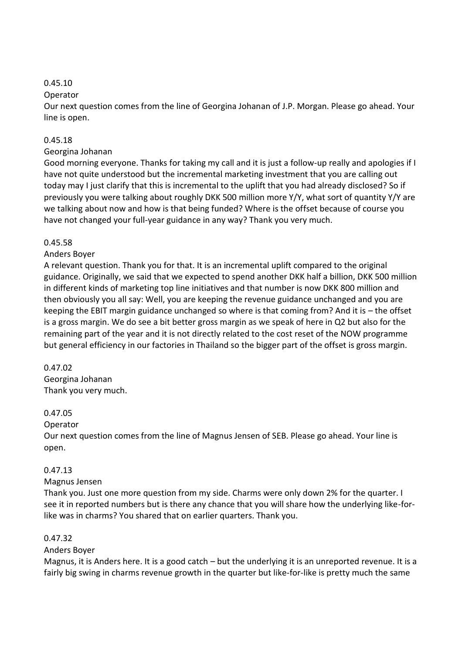# 0.45.10

## Operator

Our next question comes from the line of Georgina Johanan of J.P. Morgan. Please go ahead. Your line is open.

## 0.45.18

## Georgina Johanan

Good morning everyone. Thanks for taking my call and it is just a follow-up really and apologies if I have not quite understood but the incremental marketing investment that you are calling out today may I just clarify that this is incremental to the uplift that you had already disclosed? So if previously you were talking about roughly DKK 500 million more Y/Y, what sort of quantity Y/Y are we talking about now and how is that being funded? Where is the offset because of course you have not changed your full-year guidance in any way? Thank you very much.

# 0.45.58

# Anders Boyer

A relevant question. Thank you for that. It is an incremental uplift compared to the original guidance. Originally, we said that we expected to spend another DKK half a billion, DKK 500 million in different kinds of marketing top line initiatives and that number is now DKK 800 million and then obviously you all say: Well, you are keeping the revenue guidance unchanged and you are keeping the EBIT margin guidance unchanged so where is that coming from? And it is – the offset is a gross margin. We do see a bit better gross margin as we speak of here in Q2 but also for the remaining part of the year and it is not directly related to the cost reset of the NOW programme but general efficiency in our factories in Thailand so the bigger part of the offset is gross margin.

# 0.47.02 Georgina Johanan

Thank you very much.

# 0.47.05

Operator

Our next question comes from the line of Magnus Jensen of SEB. Please go ahead. Your line is open.

# 0.47.13

## Magnus Jensen

Thank you. Just one more question from my side. Charms were only down 2% for the quarter. I see it in reported numbers but is there any chance that you will share how the underlying like-forlike was in charms? You shared that on earlier quarters. Thank you.

# 0.47.32

# Anders Boyer

Magnus, it is Anders here. It is a good catch – but the underlying it is an unreported revenue. It is a fairly big swing in charms revenue growth in the quarter but like-for-like is pretty much the same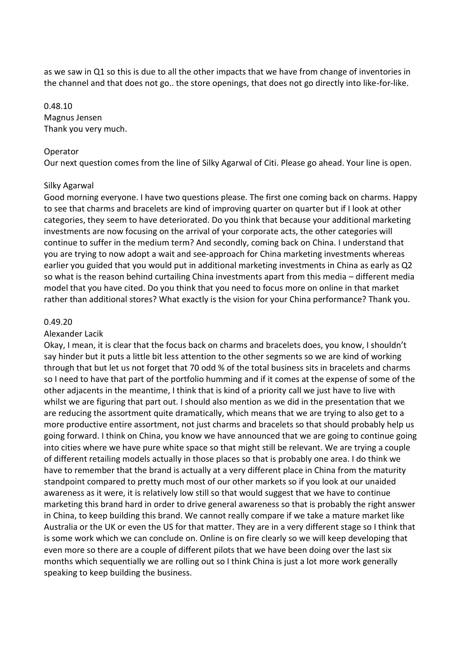as we saw in Q1 so this is due to all the other impacts that we have from change of inventories in the channel and that does not go.. the store openings, that does not go directly into like-for-like.

## 0.48.10 Magnus Jensen Thank you very much.

#### Operator

Our next question comes from the line of Silky Agarwal of Citi. Please go ahead. Your line is open.

#### Silky Agarwal

Good morning everyone. I have two questions please. The first one coming back on charms. Happy to see that charms and bracelets are kind of improving quarter on quarter but if I look at other categories, they seem to have deteriorated. Do you think that because your additional marketing investments are now focusing on the arrival of your corporate acts, the other categories will continue to suffer in the medium term? And secondly, coming back on China. I understand that you are trying to now adopt a wait and see-approach for China marketing investments whereas earlier you guided that you would put in additional marketing investments in China as early as Q2 so what is the reason behind curtailing China investments apart from this media – different media model that you have cited. Do you think that you need to focus more on online in that market rather than additional stores? What exactly is the vision for your China performance? Thank you.

#### 0.49.20

#### Alexander Lacik

Okay, I mean, it is clear that the focus back on charms and bracelets does, you know, I shouldn't say hinder but it puts a little bit less attention to the other segments so we are kind of working through that but let us not forget that 70 odd % of the total business sits in bracelets and charms so I need to have that part of the portfolio humming and if it comes at the expense of some of the other adjacents in the meantime, I think that is kind of a priority call we just have to live with whilst we are figuring that part out. I should also mention as we did in the presentation that we are reducing the assortment quite dramatically, which means that we are trying to also get to a more productive entire assortment, not just charms and bracelets so that should probably help us going forward. I think on China, you know we have announced that we are going to continue going into cities where we have pure white space so that might still be relevant. We are trying a couple of different retailing models actually in those places so that is probably one area. I do think we have to remember that the brand is actually at a very different place in China from the maturity standpoint compared to pretty much most of our other markets so if you look at our unaided awareness as it were, it is relatively low still so that would suggest that we have to continue marketing this brand hard in order to drive general awareness so that is probably the right answer in China, to keep building this brand. We cannot really compare if we take a mature market like Australia or the UK or even the US for that matter. They are in a very different stage so I think that is some work which we can conclude on. Online is on fire clearly so we will keep developing that even more so there are a couple of different pilots that we have been doing over the last six months which sequentially we are rolling out so I think China is just a lot more work generally speaking to keep building the business.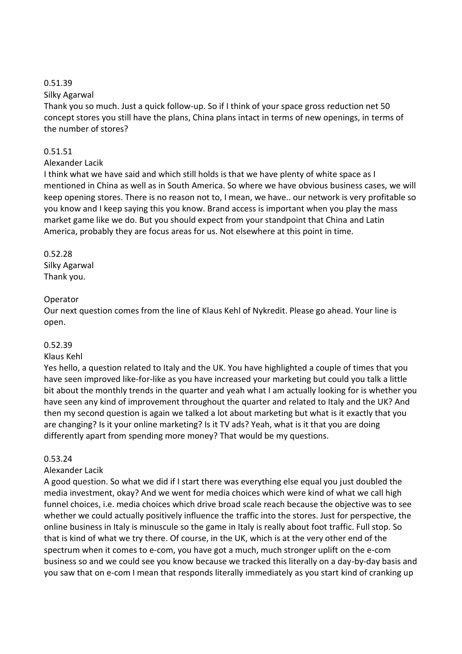## 0.51.39

#### Silky Agarwal

Thank you so much. Just a quick follow-up. So if I think of your space gross reduction net 50 concept stores you still have the plans, China plans intact in terms of new openings, in terms of the number of stores?

## 0.51.51

# Alexander Lacik

I think what we have said and which still holds is that we have plenty of white space as I mentioned in China as well as in South America. So where we have obvious business cases, we will keep opening stores. There is no reason not to, I mean, we have.. our network is very profitable so you know and I keep saying this you know. Brand access is important when you play the mass market game like we do. But you should expect from your standpoint that China and Latin America, probably they are focus areas for us. Not elsewhere at this point in time.

### 0.52.28 Silky Agarwal Thank you.

## Operator

Our next question comes from the line of Klaus Kehl of Nykredit. Please go ahead. Your line is open.

## 0.52.39

## Klaus Kehl

Yes hello, a question related to Italy and the UK. You have highlighted a couple of times that you have seen improved like-for-like as you have increased your marketing but could you talk a little bit about the monthly trends in the quarter and yeah what I am actually looking for is whether you have seen any kind of improvement throughout the quarter and related to Italy and the UK? And then my second question is again we talked a lot about marketing but what is it exactly that you are changing? Is it your online marketing? Is it TV ads? Yeah, what is it that you are doing differently apart from spending more money? That would be my questions.

## 0.53.24

## Alexander Lacik

A good question. So what we did if I start there was everything else equal you just doubled the media investment, okay? And we went for media choices which were kind of what we call high funnel choices, i.e. media choices which drive broad scale reach because the objective was to see whether we could actually positively influence the traffic into the stores. Just for perspective, the online business in Italy is minuscule so the game in Italy is really about foot traffic. Full stop. So that is kind of what we try there. Of course, in the UK, which is at the very other end of the spectrum when it comes to e-com, you have got a much, much stronger uplift on the e-com business so and we could see you know because we tracked this literally on a day-by-day basis and you saw that on e-com I mean that responds literally immediately as you start kind of cranking up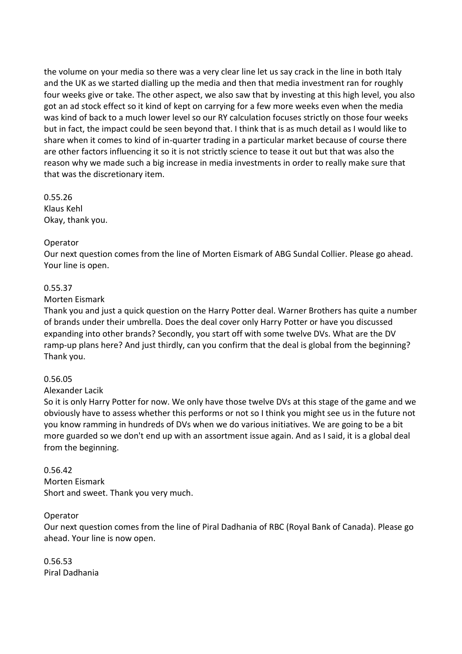the volume on your media so there was a very clear line let us say crack in the line in both Italy and the UK as we started dialling up the media and then that media investment ran for roughly four weeks give or take. The other aspect, we also saw that by investing at this high level, you also got an ad stock effect so it kind of kept on carrying for a few more weeks even when the media was kind of back to a much lower level so our RY calculation focuses strictly on those four weeks but in fact, the impact could be seen beyond that. I think that is as much detail as I would like to share when it comes to kind of in-quarter trading in a particular market because of course there are other factors influencing it so it is not strictly science to tease it out but that was also the reason why we made such a big increase in media investments in order to really make sure that that was the discretionary item.

0.55.26 Klaus Kehl Okay, thank you.

## Operator

Our next question comes from the line of Morten Eismark of ABG Sundal Collier. Please go ahead. Your line is open.

## 0.55.37

#### Morten Eismark

Thank you and just a quick question on the Harry Potter deal. Warner Brothers has quite a number of brands under their umbrella. Does the deal cover only Harry Potter or have you discussed expanding into other brands? Secondly, you start off with some twelve DVs. What are the DV ramp-up plans here? And just thirdly, can you confirm that the deal is global from the beginning? Thank you.

#### 0.56.05

#### Alexander Lacik

So it is only Harry Potter for now. We only have those twelve DVs at this stage of the game and we obviously have to assess whether this performs or not so I think you might see us in the future not you know ramming in hundreds of DVs when we do various initiatives. We are going to be a bit more guarded so we don't end up with an assortment issue again. And as I said, it is a global deal from the beginning.

0.56.42 Morten Eismark Short and sweet. Thank you very much.

#### Operator

Our next question comes from the line of Piral Dadhania of RBC (Royal Bank of Canada). Please go ahead. Your line is now open.

0.56.53 Piral Dadhania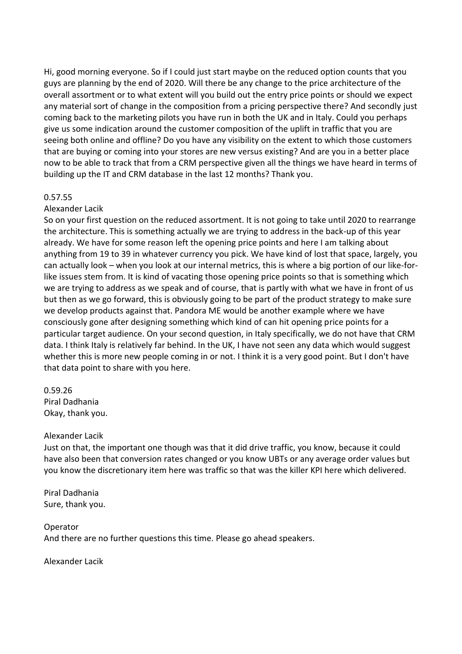Hi, good morning everyone. So if I could just start maybe on the reduced option counts that you guys are planning by the end of 2020. Will there be any change to the price architecture of the overall assortment or to what extent will you build out the entry price points or should we expect any material sort of change in the composition from a pricing perspective there? And secondly just coming back to the marketing pilots you have run in both the UK and in Italy. Could you perhaps give us some indication around the customer composition of the uplift in traffic that you are seeing both online and offline? Do you have any visibility on the extent to which those customers that are buying or coming into your stores are new versus existing? And are you in a better place now to be able to track that from a CRM perspective given all the things we have heard in terms of building up the IT and CRM database in the last 12 months? Thank you.

## 0.57.55

#### Alexander Lacik

So on your first question on the reduced assortment. It is not going to take until 2020 to rearrange the architecture. This is something actually we are trying to address in the back-up of this year already. We have for some reason left the opening price points and here I am talking about anything from 19 to 39 in whatever currency you pick. We have kind of lost that space, largely, you can actually look – when you look at our internal metrics, this is where a big portion of our like-forlike issues stem from. It is kind of vacating those opening price points so that is something which we are trying to address as we speak and of course, that is partly with what we have in front of us but then as we go forward, this is obviously going to be part of the product strategy to make sure we develop products against that. Pandora ME would be another example where we have consciously gone after designing something which kind of can hit opening price points for a particular target audience. On your second question, in Italy specifically, we do not have that CRM data. I think Italy is relatively far behind. In the UK, I have not seen any data which would suggest whether this is more new people coming in or not. I think it is a very good point. But I don't have that data point to share with you here.

0.59.26 Piral Dadhania Okay, thank you.

#### Alexander Lacik

Just on that, the important one though was that it did drive traffic, you know, because it could have also been that conversion rates changed or you know UBTs or any average order values but you know the discretionary item here was traffic so that was the killer KPI here which delivered.

Piral Dadhania Sure, thank you.

Operator And there are no further questions this time. Please go ahead speakers.

Alexander Lacik